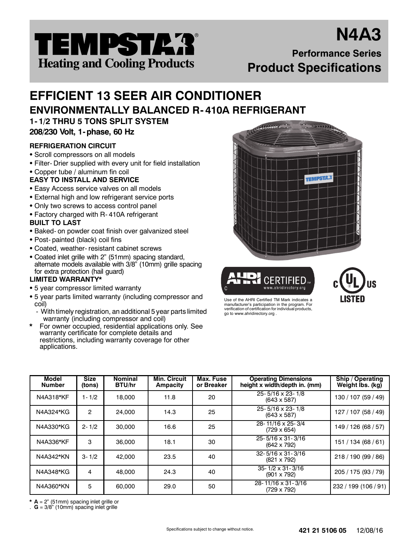

# **N4A3 Performance Series Product Specifications**

# **EFFICIENT 13 SEER AIR CONDITIONER ENVIRONMENTALLY BALANCED R- 410A REFRIGERANT**

**1- 1/2 THRU 5 TONS SPLIT SYSTEM 208/230 Volt, 1- phase, 60 Hz**

# **REFRIGERATION CIRCUIT**

- Scroll compressors on all models
- Filter- Drier supplied with every unit for field installation
- Copper tube / aluminum fin coil

# **EASY TO INSTALL AND SERVICE**

- Easy Access service valves on all models
- External high and low refrigerant service ports
- Only two screws to access control panel
- Factory charged with R-410A refrigerant
- **BUILT TO LAST**
- Baked- on powder coat finish over galvanized steel
- Post- painted (black) coil fins
- Coated, weather- resistant cabinet screws
- Coated inlet grille with 2" (51mm) spacing standard, alternate models available with 3/8" (10mm) grille spacing for extra protection (hail guard)

## **LIMITED WARRANTY\***

- 5 year compressor limited warranty
- 5 year parts limited warranty (including compressor and coil)
- With timely registration, an additional 5 year parts limited warranty (including compressor and coil)
- **\*** For owner occupied, residential applications only. See warranty certificate for complete details and restrictions, including warranty coverage for other applications.







Use of the AHRI Certified TM Mark indicates a manufacturer's participation in the program. For verification of certification for individual products, go to www.ahridirectory.org .

| Model<br><b>Number</b> | <b>Size</b><br>(tons) | <b>Nominal</b><br><b>BTU/hr</b> | Min. Circuit<br>Ampacity | Max. Fuse<br>or Breaker | <b>Operating Dimensions</b><br>height x width/depth in. (mm) | Ship / Operating<br>Weight lbs. (kg) |
|------------------------|-----------------------|---------------------------------|--------------------------|-------------------------|--------------------------------------------------------------|--------------------------------------|
| N4A318*KF              | $1 - 1/2$             | 18,000                          | 11.8                     | 20                      | $25 - 5/16 \times 23 - 1/8$<br>$(643 \times 587)$            | 130 / 107 (59 / 49)                  |
| N4A324*KG              | 2                     | 24,000                          | 14.3                     | 25                      | $25 - 5/16 \times 23 - 1/8$<br>$(643 \times 587)$            | 127 / 107 (58 / 49)                  |
| N4A330*KG              | $2 - 1/2$             | 30,000                          | 16.6                     | 25                      | 28-11/16 x 25-3/4<br>$(729 \times 654)$                      | 149 / 126 (68 / 57)                  |
| N4A336*KF              | 3                     | 36,000                          | 18.1                     | 30                      | 25-5/16 x 31-3/16<br>$(642 \times 792)$                      | 151 / 134 (68 / 61)                  |
| N4A342*KN              | $3 - 1/2$             | 42,000                          | 23.5                     | 40                      | $32 - 5/16 \times 31 - 3/16$<br>$(821 \times 792)$           | 218 / 190 (99 / 86)                  |
| N4A348*KG              | 4                     | 48,000                          | 24.3                     | 40                      | $35 - 1/2 \times 31 - 3/16$<br>$(901 \times 792)$            | 205 / 175 (93 / 79)                  |
| N4A360*KN              | 5                     | 60,000                          | 29.0                     | 50                      | 28-11/16 x 31-3/16<br>$(729 \times 792)$                     | 232 / 199 (106 / 91)                 |

**\* A** = 2" (51mm) spacing inlet grille or

. **G** = 3/8" (10mm) spacing inlet grille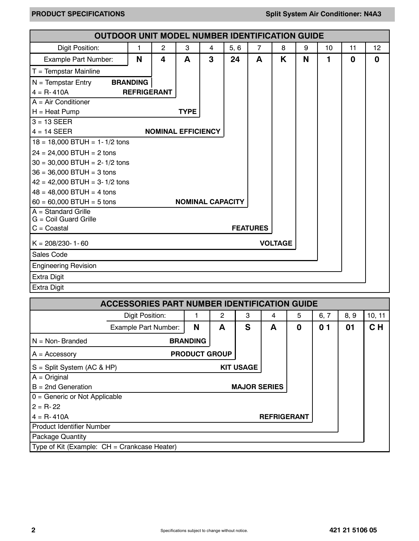| <b>OUTDOOR UNIT MODEL NUMBER IDENTIFICATION GUIDE</b> |                    |                |                           |                |      |                 |                |   |    |    |    |
|-------------------------------------------------------|--------------------|----------------|---------------------------|----------------|------|-----------------|----------------|---|----|----|----|
| Digit Position:                                       | 1                  | $\overline{c}$ | 3                         | $\overline{4}$ | 5, 6 | $\overline{7}$  | 8              | 9 | 10 | 11 | 12 |
| Example Part Number:                                  | N                  | 4              | A                         | 3              | 24   | A               | K              | N | 1  | 0  | 0  |
| $T =$ Tempstar Mainline                               |                    |                |                           |                |      |                 |                |   |    |    |    |
| $N =$ Tempstar Entry                                  | <b>BRANDING</b>    |                |                           |                |      |                 |                |   |    |    |    |
| $4 = R - 410A$                                        | <b>REFRIGERANT</b> |                |                           |                |      |                 |                |   |    |    |    |
| $A = Air Conditioner$                                 |                    |                |                           |                |      |                 |                |   |    |    |    |
| $H =$ Heat Pump                                       |                    |                | <b>TYPE</b>               |                |      |                 |                |   |    |    |    |
| $3 = 13$ SEER                                         |                    |                |                           |                |      |                 |                |   |    |    |    |
| $4 = 14$ SEER                                         |                    |                | <b>NOMINAL EFFICIENCY</b> |                |      |                 |                |   |    |    |    |
| $18 = 18,000$ BTUH = 1-1/2 tons                       |                    |                |                           |                |      |                 |                |   |    |    |    |
| $24 = 24,000$ BTUH = 2 tons                           |                    |                |                           |                |      |                 |                |   |    |    |    |
| $30 = 30,000$ BTUH = 2-1/2 tons                       |                    |                |                           |                |      |                 |                |   |    |    |    |
| $36 = 36,000$ BTUH = 3 tons                           |                    |                |                           |                |      |                 |                |   |    |    |    |
| $42 = 42,000$ BTUH = 3-1/2 tons                       |                    |                |                           |                |      |                 |                |   |    |    |    |
| $48 = 48,000$ BTUH = 4 tons                           |                    |                |                           |                |      |                 |                |   |    |    |    |
| $60 = 60,000$ BTUH = 5 tons                           |                    |                | <b>NOMINAL CAPACITY</b>   |                |      |                 |                |   |    |    |    |
| $A = Standard Grille$                                 |                    |                |                           |                |      |                 |                |   |    |    |    |
| $G =$ Coil Guard Grille<br>$C = Coastal$              |                    |                |                           |                |      | <b>FEATURES</b> |                |   |    |    |    |
|                                                       |                    |                |                           |                |      |                 |                |   |    |    |    |
| $K = 208/230 - 1 - 60$                                |                    |                |                           |                |      |                 | <b>VOLTAGE</b> |   |    |    |    |
| Sales Code                                            |                    |                |                           |                |      |                 |                |   |    |    |    |
| <b>Engineering Revision</b>                           |                    |                |                           |                |      |                 |                |   |    |    |    |
| <b>Extra Digit</b>                                    |                    |                |                           |                |      |                 |                |   |    |    |    |
| <b>Extra Digit</b>                                    |                    |                |                           |                |      |                 |                |   |    |    |    |

| <b>ACCESSORIES PART NUMBER IDENTIFICATION GUIDE</b> |                             |                      |   |                     |                    |   |                |      |        |  |  |  |
|-----------------------------------------------------|-----------------------------|----------------------|---|---------------------|--------------------|---|----------------|------|--------|--|--|--|
|                                                     | Digit Position:             |                      | 2 | 3                   | 4                  | 5 | 6, 7           | 8, 9 | 10, 11 |  |  |  |
|                                                     | <b>Example Part Number:</b> | N                    | A | S                   | A                  | 0 | 0 <sub>1</sub> | 01   | CH     |  |  |  |
| $N = Non-Branded$                                   |                             | <b>BRANDING</b>      |   |                     |                    |   |                |      |        |  |  |  |
| $A = Accessory$                                     |                             | <b>PRODUCT GROUP</b> |   |                     |                    |   |                |      |        |  |  |  |
| S = Split System (AC & HP)                          |                             |                      |   | <b>KIT USAGE</b>    |                    |   |                |      |        |  |  |  |
| $A = Original$                                      |                             |                      |   |                     |                    |   |                |      |        |  |  |  |
| $B = 2nd$ Generation                                |                             |                      |   | <b>MAJOR SERIES</b> |                    |   |                |      |        |  |  |  |
| $0 =$ Generic or Not Applicable                     |                             |                      |   |                     |                    |   |                |      |        |  |  |  |
| $2 = R - 22$                                        |                             |                      |   |                     |                    |   |                |      |        |  |  |  |
| $4 = R - 410A$                                      |                             |                      |   |                     | <b>REFRIGERANT</b> |   |                |      |        |  |  |  |
| Product Identifier Number                           |                             |                      |   |                     |                    |   |                |      |        |  |  |  |
| Package Quantity                                    |                             |                      |   |                     |                    |   |                |      |        |  |  |  |
| Type of Kit (Example: $CH =$ Crankcase Heater)      |                             |                      |   |                     |                    |   |                |      |        |  |  |  |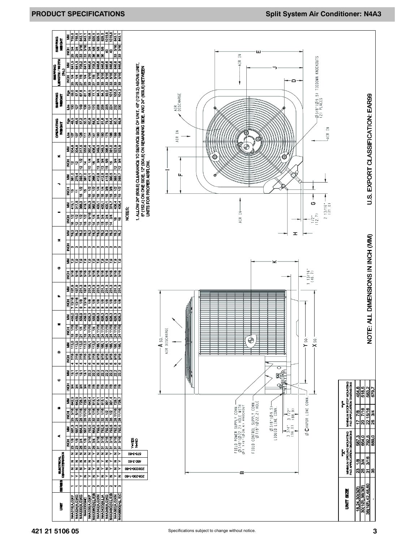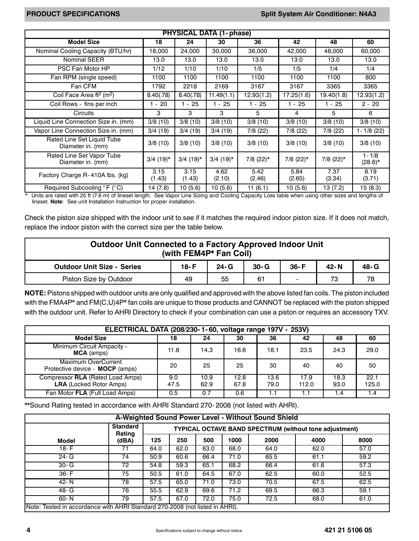|                                                  |                |                | <b>PHYSICAL DATA (1-phase)</b> |                |                   |                         |                         |
|--------------------------------------------------|----------------|----------------|--------------------------------|----------------|-------------------|-------------------------|-------------------------|
| <b>Model Size</b>                                | 18             | 24             | 30                             | 36             | 42                | 48                      | 60                      |
| Nominal Cooling Capacity (BTU/hr)                | 18,000         | 24,000         | 30,000                         | 36,000         | 42,000            | 48,000                  | 60,000                  |
| <b>Nominal SEER</b>                              | 13.0           | 13.0           | 13.0                           | 13.0           | 13.0              | 13.0                    | 13.0                    |
| PSC Fan Motor HP                                 | 1/12           | 1/10           | 1/10                           | 1/5            | 1/5               | 1/4                     | 1/4                     |
| Fan RPM (single speed)                           | 1100           | 1100           | 1100                           | 1100           | 1100              | 1100                    | 800                     |
| Fan CFM                                          | 1792           | 2218           | 2169                           | 3167           | 3167              | 3365                    | 3365                    |
| Coil Face Area ft <sup>2</sup> (m <sup>2</sup> ) | 8.40(.78)      | 8.40(.78)      | $\overline{11.49(1.1)}$        | 12.93(1.2)     | 17.25(1.6)        | $\overline{19.40(1.8)}$ | 12.93(1.2)              |
| Coil Rows - fins per inch                        | $1 - 20$       | $-25$          | $1 - 25$                       | $1 - 25$       | $1 - 25$          | $1 - 25$                | $2 - 20$                |
| Circuits                                         | 3              | 3              | 3                              | 5              | 4                 | 5                       | 6                       |
| Liquid Line Connection Size in. (mm)             | 3/8(10)        | 3/8(10)        | 3/8(10)                        | 3/8(10)        | 3/8(10)           | 3/8(10)                 | 3/8(10)                 |
| Vapor Line Connection Size in. (mm)              | 3/4(19)        | 3/4(19)        | 3/4(19)                        | 7/8(22)        | $\sqrt{7}/8$ (22) | 7/8(22)                 | $1 - 1/8$ (22)          |
| Rated Line Set Liquid Tube<br>Diameter in. (mm)  | 3/8(10)        | 3/8(10)        | 3/8(10)                        | 3/8(10)        | 3/8(10)           | 3/8(10)                 | 3/8(10)                 |
| Rated Line Set Vapor Tube<br>Diameter in. (mm)   | $3/4$ (19)*    | $3/4$ (19)*    | $3/4$ (19) <sup>*</sup>        | 7/8 (22)*      | 7/8 (22)*         | $7/8$ (22) <sup>*</sup> | $1 - 1/8$<br>$(28.6)^*$ |
| Factory Charge R-410A lbs. (kg)                  | 3.15<br>(1.43) | 3.15<br>(1.43) | 4.62<br>(2.10)                 | 5.42<br>(2.46) | 5.84<br>(2.65)    | 7.37<br>(3.34)          | 8.19<br>(3.71)          |
| Required Subcooling °F (°C)                      | 14 (7.8)       | 10(5.6)        | 10(5.6)                        | 11 (6.1)       | 10 (5.6)          | 13 (7.2)                | 15 (8.3)                |

\* Units are rated with 25 ft (7.6 m) of lineset length. See Vapor Line Sizing and Cooling Capacity Loss table when using other sizes and lengths of lineset. **Note**: See unit Installation Instruction for proper installation.

Check the piston size shipped with the indoor unit to see if it matches the required indoor piston size. If it does not match, replace the indoor piston with the correct size per the table below.

| Outdoor Unit Connected to a Factory Approved Indoor Unit<br>(with FEM4P* Fan Coil) |        |          |          |          |      |      |  |  |  |  |
|------------------------------------------------------------------------------------|--------|----------|----------|----------|------|------|--|--|--|--|
| <b>Outdoor Unit Size - Series</b>                                                  | $18-F$ | $24 - G$ | $30 - G$ | $36 - F$ | 42-N | 48-G |  |  |  |  |
| 78<br>73<br>Piston Size by Outdoor<br>61<br>55<br>49                               |        |          |          |          |      |      |  |  |  |  |

**NOTE:** Pistons shipped with outdoor units are only qualified and approved with the above listed fan coils. The piston included with the FMA4P\* and FM(C,U)4P\* fan coils are unique to those products and CANNOT be replaced with the piston shipped with the outdoor unit. Refer to AHRI Directory to check if your combination can use a piston or requires an accessory TXV.

|                                                                    | ELECTRICAL DATA (208/230-1-60, voltage range 197V - 253V) |              |              |              |               |              |               |  |  |  |  |  |
|--------------------------------------------------------------------|-----------------------------------------------------------|--------------|--------------|--------------|---------------|--------------|---------------|--|--|--|--|--|
| <b>Model Size</b>                                                  | 18                                                        | 24           | 30           | 36           | 42            | 48           | 60            |  |  |  |  |  |
| Minimum Circuit Ampacity -<br><b>MCA</b> (amps)                    | 11.8                                                      | 14.3         | 16.6         | 18.1         | 23.5          | 24.3         | 29.0          |  |  |  |  |  |
| <b>Maximum OverCurrent</b><br>Protective device - MOCP (amps)      | 20                                                        | 25           | 25           | 30           | 40            | 40           | 50            |  |  |  |  |  |
| Compressor RLA (Rated Load Amps)<br><b>LRA</b> (Locked Rotor Amps) | 9.0<br>47.5                                               | 10.9<br>62.9 | 12.8<br>67.8 | 13.6<br>79.0 | 17.9<br>112.0 | 18.3<br>93.0 | 22.1<br>125.0 |  |  |  |  |  |
| Fan Motor FLA (Full Load Amps)                                     | 0.5                                                       | 0.7          | 0.6          |              |               | 1.4          | l .4          |  |  |  |  |  |

\*\*Sound Rating tested in accordance with AHRI Standard 270- 2008 (not listed with AHRI).

|                                                                              | A-Weighted Sound Power Level - Without Sound Shield |      |      |      |      |                                                        |      |      |  |  |  |  |
|------------------------------------------------------------------------------|-----------------------------------------------------|------|------|------|------|--------------------------------------------------------|------|------|--|--|--|--|
|                                                                              | <b>Standard</b><br>Rating                           |      |      |      |      | TYPICAL OCTAVE BAND SPECTRUM (without tone adjustment) |      |      |  |  |  |  |
| Model                                                                        | (dBA)                                               | 125  | 250  | 500  | 1000 | 2000                                                   | 4000 | 8000 |  |  |  |  |
| $18-F$                                                                       | 71                                                  | 64.0 | 62.0 | 63.0 | 68.0 | 64.0                                                   | 62.0 | 57.0 |  |  |  |  |
| $24 - G$                                                                     | 74                                                  | 50.9 | 60.6 | 66.4 | 71.0 | 65.5                                                   | 61.1 | 59.2 |  |  |  |  |
| $30 - G$                                                                     | 72                                                  | 54.8 | 59.3 | 65.1 | 68.2 | 66.4                                                   | 61.6 | 57.3 |  |  |  |  |
| $36-F$                                                                       | 75                                                  | 50.5 | 61.0 | 64.5 | 67.0 | 62.5                                                   | 60.0 | 52.5 |  |  |  |  |
| $42 - N$                                                                     | 78                                                  | 57.5 | 65.0 | 71.0 | 73.0 | 70.5                                                   | 67.5 | 62.5 |  |  |  |  |
| $48 - G$                                                                     | 76                                                  | 55.5 | 62.9 | 69.6 | 71.2 | 69.5                                                   | 66.3 | 59.1 |  |  |  |  |
| $60 - N$                                                                     | 79                                                  | 57.5 | 67.0 | 72.0 | 75.0 | 72.5                                                   | 68.0 | 61.0 |  |  |  |  |
| Note: Tested in accordance with AHRI Standard 270-2008 (not listed in AHRI). |                                                     |      |      |      |      |                                                        |      |      |  |  |  |  |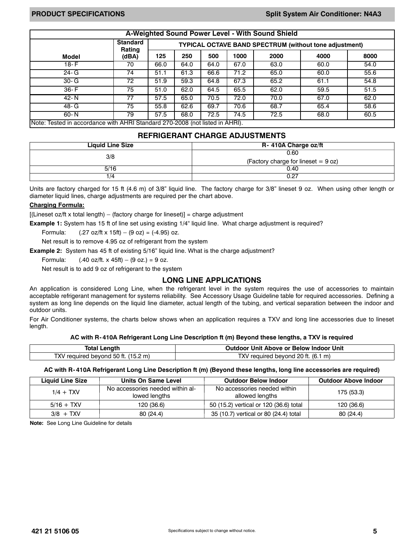|                                                                              | A-Weighted Sound Power Level - With Sound Shield |      |      |      |      |                                                               |      |      |  |  |  |
|------------------------------------------------------------------------------|--------------------------------------------------|------|------|------|------|---------------------------------------------------------------|------|------|--|--|--|
|                                                                              | <b>Standard</b><br>Rating                        |      |      |      |      | <b>TYPICAL OCTAVE BAND SPECTRUM (without tone adjustment)</b> |      |      |  |  |  |
| Model                                                                        | (dBA)                                            | 125  | 250  | 500  | 1000 | 2000                                                          | 4000 | 8000 |  |  |  |
| $18-F$                                                                       | 70                                               | 66.0 | 64.0 | 64.0 | 67.0 | 63.0                                                          | 60.0 | 54.0 |  |  |  |
| $24 - G$                                                                     | 74                                               | 51.1 | 61.3 | 66.6 | 71.2 | 65.0                                                          | 60.0 | 55.6 |  |  |  |
| $30 - G$                                                                     | 72                                               | 51.9 | 59.3 | 64.8 | 67.3 | 65.2                                                          | 61.1 | 54.8 |  |  |  |
| $36-F$                                                                       | 75                                               | 51.0 | 62.0 | 64.5 | 65.5 | 62.0                                                          | 59.5 | 51.5 |  |  |  |
| $42 - N$                                                                     | 77                                               | 57.5 | 65.0 | 70.5 | 72.0 | 70.0                                                          | 67.0 | 62.0 |  |  |  |
| 48- G                                                                        | 75                                               | 55.8 | 62.6 | 69.7 | 70.6 | 68.7                                                          | 65.4 | 58.6 |  |  |  |
| $60 - N$                                                                     | 79                                               | 57.5 | 68.0 | 72.5 | 74.5 | 72.5                                                          | 68.0 | 60.5 |  |  |  |
| Note: Tested in accordance with AHRI Standard 270-2008 (not listed in AHRI). |                                                  |      |      |      |      |                                                               |      |      |  |  |  |

### **REFRIGERANT CHARGE ADJUSTMENTS**

| <b>Liquid Line Size</b> | R- 410A Charge oz/ft                  |
|-------------------------|---------------------------------------|
| 3/8                     | 0.60                                  |
|                         | (Factory charge for lineset $= 9$ oz) |
| 5/16                    | 0.40                                  |
| 1/4                     | 0.27                                  |

Units are factory charged for 15 ft (4.6 m) of 3/8" liquid line. The factory charge for 3/8" lineset 9 oz. When using other length or diameter liquid lines, charge adjustments are required per the chart above.

#### **Charging Formula:**

 $[$ (Lineset oz/ft x total length) – (factory charge for lineset)] = charge adjustment

**Example 1:** System has 15 ft of line set using existing 1/4" liquid line. What charge adjustment is required?

Formula:  $(.27 \text{ oz/ft} \times 15 \text{ ft}) - (9 \text{ oz}) = (-4.95) \text{ oz}.$ 

Net result is to remove 4.95 oz of refrigerant from the system

**Example 2:** System has 45 ft of existing 5/16" liquid line. What is the charge adjustment?

Formula:  $(.40 \text{ oz/ft.} \times 45 \text{ft}) - (9 \text{ oz.}) = 9 \text{ oz.}$ 

Net result is to add 9 oz of refrigerant to the system

### **LONG LINE APPLICATIONS**

An application is considered Long Line, when the refrigerant level in the system requires the use of accessories to maintain acceptable refrigerant management for systems reliability. See Accessory Usage Guideline table for required accessories. Defining a system as long line depends on the liquid line diameter, actual length of the tubing, and vertical separation between the indoor and outdoor units.

For Air Conditioner systems, the charts below shows when an application requires a TXV and long line accessories due to lineset length.

#### **AC with R- 410A Refrigerant Long Line Description ft (m) Beyond these lengths, a TXV is required**

| <b>Total Length</b>                 | Outdoor Unit Above or Below Indoor Unit |
|-------------------------------------|-----------------------------------------|
| TXV required beyond 50 ft. (15.2 m) | TXV required bevond 20 ft. (6.1 m)      |

#### **AC with R- 410A Refrigerant Long Line Description ft (m) (Beyond these lengths, long line accessories are required)**

| <b>Liquid Line Size</b> | Units On Same Level                               | <b>Outdoor Below Indoor</b>                     | <b>Outdoor Above Indoor</b> |
|-------------------------|---------------------------------------------------|-------------------------------------------------|-----------------------------|
| $1/4 + TXV$             | No accessories needed within al-<br>lowed lengths | No accessories needed within<br>allowed lengths | 175 (53.3)                  |
| $5/16 + TXV$            | 120 (36.6)                                        | 50 (15.2) vertical or 120 (36.6) total          | 120 (36.6)                  |
| $3/8$ + TXV             | 80(24.4)                                          | 35 (10.7) vertical or 80 (24.4) total           | 80(24.4)                    |

**Note:** See Long Line Guideline for details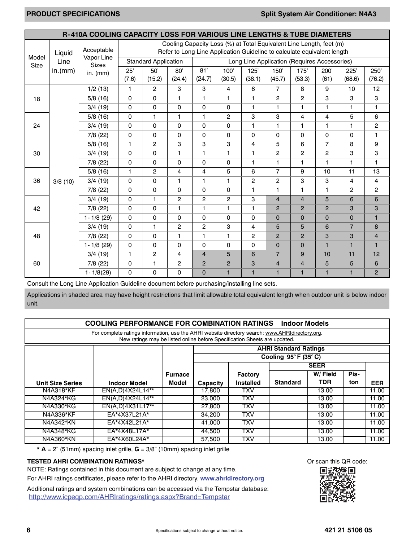|               |         | R-410A COOLING CAPACITY LOSS FOR VARIOUS LINE LENGTHS & TUBE DIAMETERS |              |                             |                |                |                |                                                                                                                                                |                |                |                         |                |                |
|---------------|---------|------------------------------------------------------------------------|--------------|-----------------------------|----------------|----------------|----------------|------------------------------------------------------------------------------------------------------------------------------------------------|----------------|----------------|-------------------------|----------------|----------------|
|               | Liquid  | Acceptable                                                             |              |                             |                |                |                | Cooling Capacity Loss (%) at Total Equivalent Line Length, feet (m)<br>Refer to Long Line Application Guideline to calculate equivalent length |                |                |                         |                |                |
| Model<br>Size | Line    | Vapor Line<br><b>Sizes</b>                                             |              | <b>Standard Application</b> |                |                |                | Long Line Application (Requires Accessories)                                                                                                   |                |                |                         |                |                |
|               | in.(mm) | in. $(mm)$                                                             | 25'<br>(7.6) | 50'<br>(15.2)               | 80'<br>(24.4)  | 81'<br>(24.7)  | 100'<br>(30.5) | 125'<br>(38.1)                                                                                                                                 | 150<br>(45.7)  | 175'<br>(53.3) | 200'<br>(61)            | 225'<br>(68.6) | 250'<br>(76.2) |
|               |         | 1/2(13)                                                                | $\mathbf{1}$ | $\overline{2}$              | 3              | 3              | $\overline{4}$ | 6                                                                                                                                              | 7              | 8              | 9                       | 10             | 12             |
| 18            |         | 5/8(16)                                                                | $\Omega$     | $\Omega$                    | $\mathbf{1}$   | $\mathbf{1}$   | $\mathbf{1}$   | 1                                                                                                                                              | $\overline{2}$ | $\overline{c}$ | 3                       | 3              | 3              |
|               |         | 3/4(19)                                                                | $\Omega$     | 0                           | 0              | $\mathbf 0$    | $\mathbf 0$    | 1                                                                                                                                              | 1              | $\mathbf{1}$   | 1                       | 1              | 1              |
|               |         | 5/8(16)                                                                | $\mathbf 0$  | $\mathbf{1}$                | 1              | $\mathbf{1}$   | $\mathbf{2}$   | 3                                                                                                                                              | 3              | 4              | $\overline{4}$          | 5              | 6              |
| 24            |         | 3/4(19)                                                                | $\mathbf 0$  | $\mathbf 0$                 | 0              | $\mathbf 0$    | $\mathbf 0$    | 1                                                                                                                                              | 1              | $\mathbf{1}$   | 1                       | 1              | 2              |
|               |         | $7/8$ (22)                                                             | $\Omega$     | $\mathbf 0$                 | 0              | $\mathbf 0$    | $\mathbf 0$    | $\Omega$                                                                                                                                       | 0              | $\Omega$       | 0                       | $\mathbf 0$    | 1              |
|               |         | 5/8(16)                                                                | $\mathbf{1}$ | $\overline{2}$              | 3              | 3              | 3              | 4                                                                                                                                              | 5              | 6              | $\overline{7}$          | 8              | 9              |
| 30            |         | 3/4(19)                                                                | $\Omega$     | $\mathbf 0$                 | 1              | $\mathbf{1}$   | 1              | 1.                                                                                                                                             | $\overline{2}$ | $\overline{2}$ | $\overline{\mathbf{c}}$ | 3              | 3              |
|               |         | 7/8 (22)                                                               | $\mathbf 0$  | 0                           | $\Omega$       | $\mathbf 0$    | $\mathbf 0$    | 1.                                                                                                                                             | 1              | $\mathbf{1}$   | 1                       | 1              | 1              |
|               |         | 5/8(16)                                                                | $\mathbf{1}$ | $\overline{2}$              | 4              | $\overline{4}$ | 5              | 6                                                                                                                                              | $\overline{7}$ | 9              | 10                      | 11             | 13             |
| 36            | 3/8(10) | 3/4(19)                                                                | $\Omega$     | $\mathbf 0$                 | $\mathbf{1}$   | $\mathbf{1}$   | 1              | $\overline{2}$                                                                                                                                 | 2              | 3              | 3                       | 4              | 4              |
|               |         | 7/8(22)                                                                | $\mathbf 0$  | 0                           | $\Omega$       | $\mathbf 0$    | $\mathbf 0$    | 1                                                                                                                                              | 1              | $\mathbf{1}$   | 1                       | $\overline{2}$ | 2              |
|               |         | 3/4(19)                                                                | $\mathbf 0$  | $\mathbf{1}$                | $\overline{2}$ | $\overline{2}$ | $\mathbf{2}$   | 3                                                                                                                                              | $\overline{4}$ | $\overline{4}$ | 5                       | 6              | 6              |
| 42            |         | $7/8$ (22)                                                             | $\Omega$     | $\mathbf 0$                 | $\mathbf{1}$   | $\mathbf{1}$   | $\mathbf{1}$   | 1                                                                                                                                              | $\overline{2}$ | $\overline{2}$ | $\overline{2}$          | 3              | 3              |
|               |         | $1 - 1/8$ (29)                                                         | $\Omega$     | 0                           | 0              | $\mathbf 0$    | $\mathbf 0$    | $\Omega$                                                                                                                                       | $\mathbf 0$    | $\Omega$       | $\mathbf 0$             | $\overline{0}$ | $\mathbf{1}$   |
|               |         | 3/4(19)                                                                | $\Omega$     | $\mathbf{1}$                | $\overline{2}$ | $\overline{2}$ | 3              | 4                                                                                                                                              | 5              | 5              | 6                       | $\overline{7}$ | 8              |
| 48            |         | 7/8(22)                                                                | $\mathbf 0$  | $\Omega$                    | $\mathbf{1}$   | $\mathbf{1}$   | $\mathbf{1}$   | $\overline{2}$                                                                                                                                 | $\overline{2}$ | $\overline{2}$ | 3                       | 3              | $\overline{4}$ |
|               |         | $1 - 1/8$ (29)                                                         | $\Omega$     | 0                           | 0              | $\mathbf 0$    | $\mathbf 0$    | $\Omega$                                                                                                                                       | $\overline{0}$ | $\Omega$       | $\blacksquare$          | $\blacksquare$ | $\mathbf{1}$   |
|               |         | 3/4(19)                                                                | 1.           | $\overline{c}$              | 4              | $\overline{4}$ | 5              | 6                                                                                                                                              | $\overline{7}$ | 9              | 10                      | 11             | 12             |
| 60            |         | 7/8(22)                                                                | $\mathbf 0$  | $\mathbf{1}$                | 2              | $\overline{2}$ | 2              | 3                                                                                                                                              | $\overline{4}$ | $\overline{4}$ | 5                       | 5              | 6              |
|               |         | $1 - 1/8(29)$                                                          | 0            | 0                           | 0              | $\Omega$       | $\mathbf{1}$   | $\mathbf{1}$                                                                                                                                   | 1              | $\blacksquare$ | $\mathbf{1}$            | 1              | $\overline{2}$ |

Consult the Long Line Application Guideline document before purchasing/installing line sets.

Applications in shaded area may have height restrictions that limit allowable total equivalent length when outdoor unit is below indoor unit.

| <b>COOLING PERFORMANCE FOR COMBINATION RATINGS</b><br><b>Indoor Models</b>                                                                                                   |                     |                |          |                  |                                          |         |      |            |  |  |  |
|------------------------------------------------------------------------------------------------------------------------------------------------------------------------------|---------------------|----------------|----------|------------------|------------------------------------------|---------|------|------------|--|--|--|
| For complete ratings information, use the AHRI website directory search: www.AHRIdirectory.org.<br>New ratings may be listed online before Specification Sheets are updated. |                     |                |          |                  |                                          |         |      |            |  |  |  |
| <b>AHRI Standard Ratings</b>                                                                                                                                                 |                     |                |          |                  |                                          |         |      |            |  |  |  |
|                                                                                                                                                                              |                     |                |          |                  | Cooling $95^{\circ}$ F (35 $^{\circ}$ C) |         |      |            |  |  |  |
|                                                                                                                                                                              |                     |                |          |                  | <b>SEER</b>                              |         |      |            |  |  |  |
|                                                                                                                                                                              |                     | <b>Furnace</b> |          | <b>Factory</b>   |                                          | W/Field | Pis- |            |  |  |  |
| <b>Unit Size Series</b>                                                                                                                                                      | <b>Indoor Model</b> | Model          | Capacity | <b>Installed</b> | <b>Standard</b>                          | TDR     | ton  | <b>EER</b> |  |  |  |
| N4A318*KF                                                                                                                                                                    | EN(A,D)4X24L14**    |                | 17.800   | <b>TXV</b>       |                                          | 13.00   |      | 11.00      |  |  |  |
| N4A324*KG                                                                                                                                                                    | EN(A,D)4X24L14**    |                | 23,000   | TXV              |                                          | 13.00   |      | 11.00      |  |  |  |
| N4A330*KG                                                                                                                                                                    | $EN(A,D)4X31L17**$  |                | 27,800   | TXV              |                                          | 13.00   |      | 11.00      |  |  |  |
| N4A336*KF                                                                                                                                                                    | EA*4X37L21A*        |                | 34,200   | TXV              |                                          | 13.00   |      | 11.00      |  |  |  |
| N4A342*KN                                                                                                                                                                    | $EA*4X42L21A*$      |                | 41.000   | TXV              |                                          | 13.00   |      | 11.00      |  |  |  |
| N4A348*KG                                                                                                                                                                    | EA*4X48L17A*        |                | 44,500   | <b>TXV</b>       |                                          | 13.00   |      | 11.00      |  |  |  |
| N4A360*KN                                                                                                                                                                    | EA*4X60L24A*        |                | 57,500   | <b>TXV</b>       |                                          | 13.00   |      | 11.00      |  |  |  |

**\* A** = 2" (51mm) spacing inlet grille, **G** = 3/8" (10mm) spacing inlet grille

### **TESTED AHRI COMBINATION RATINGS\* COMBINATION RATINGS\* COMBINATION RATINGS\* COMBINATION RATINGS\***

NOTE: Ratings contained in this document are subject to change at any time.

For AHRI ratings certificates, please refer to the AHRI directory. **www.ahridirectory.org**

Additional ratings and system combinations can be accessed via the Tempstar database: http://www.icpeqp.com/AHRIratings/ratings.aspx?Brand=Tempstar

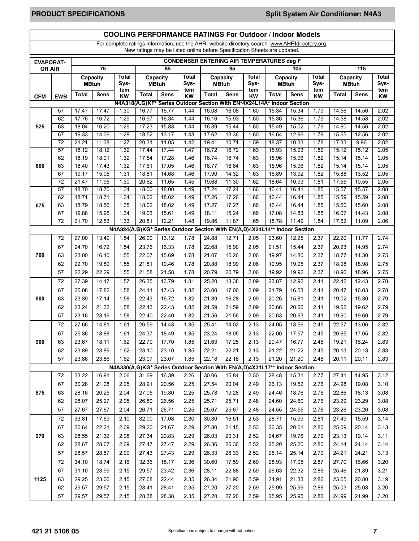## **COOLING PERFORMANCE RATINGS For Outdoor / Indoor Models**

For complete ratings information, use the AHRI website directory search: www.AHRIdirectory.org. New ratings may be listed online before Specification Sheets are updated.

|               | <b>CONDENSER ENTERING AIR TEMPERATURES deg F</b><br><b>EVAPORAT-</b> |              |                |                                                                            |                |                |              |                |                                                                        |              |                |                |              |                |                |             |
|---------------|----------------------------------------------------------------------|--------------|----------------|----------------------------------------------------------------------------|----------------|----------------|--------------|----------------|------------------------------------------------------------------------|--------------|----------------|----------------|--------------|----------------|----------------|-------------|
| <b>OR AIR</b> |                                                                      |              | 75             |                                                                            |                | 85             |              |                | 95                                                                     |              |                | 105            |              |                | 115            |             |
|               |                                                                      |              | Capacity       | Total                                                                      |                | Capacity       | Total        |                | Capacity                                                               | <b>Total</b> |                | Capacity       | Total        | Capacity       |                | Total       |
|               |                                                                      | <b>MBtuh</b> |                | Sys-<br>tem                                                                |                | <b>MBtuh</b>   | Sys-<br>tem  |                | <b>MBtuh</b>                                                           | Sys-<br>tem  |                | <b>MBtuh</b>   | Sys-<br>tem  |                | <b>MBtuh</b>   | Sys-<br>tem |
| <b>CFM</b>    | <b>EWB</b>                                                           | <b>Total</b> | <b>Sens</b>    | <b>KW</b>                                                                  | <b>Total</b>   | <b>Sens</b>    | <b>KW</b>    | <b>Total</b>   | <b>Sens</b>                                                            | <b>KW</b>    | Total          | <b>Sens</b>    | <b>KW</b>    | <b>Total</b>   | <b>Sens</b>    | KW          |
|               |                                                                      |              |                |                                                                            |                |                |              |                | N4A318(A.G)KF* Series Outdoor Section With EN*4X24L14A* Indoor Section |              |                |                |              |                |                |             |
|               | 57                                                                   | 17.47        | 17.47          | 1.30                                                                       | 16.77          | 16.77          | 1.44         | 16.08          | 16.08                                                                  | 1.60         | 15.34          | 15.34          | 1.79         | 14.56          | 14.56          | 2.02        |
|               | 62                                                                   | 17.76        | 16.72          | 1.29                                                                       | 16.97          | 16.34          | 1.44         | 16.16          | 15.93                                                                  | 1.60         | 15.36          | 15.36          | 1.79         | 14.58          | 14.58          | 2.02        |
| 525           | 63                                                                   | 18.04        | 16.20          | 1.29                                                                       | 17.23          | 15.83          | 1.44         | 16.39          | 15.44                                                                  | 1.60         | 15.49          | 15.02          | 1.79         | 14.60          | 14.56          | 2.02        |
|               | 67                                                                   | 19.33        | 14.06          | 1.28                                                                       | 18.52          | 13.17          | 1.43         | 17.62          | 13.36                                                                  | 1.60         | 16.64          | 12.96          | 1.79         | 15.65          | 12.56          | 2.02        |
|               | $\overline{72}$                                                      | 21.21        | 11.38          | 1.27                                                                       | 20.31          | 11.05          | 1.42         | 19.41          | 10.71                                                                  | 1.59         | 18.37          | 10.33          | 1.78         | 17.33          | 9.96           | 2.02        |
|               | 57                                                                   | 18.12        | 18.12          | 1.32                                                                       | 17.44          | 17.44          | 1.47         | 16.72          | 16.72                                                                  | 1.63         | 15.93          | 15.93          | 1.82         | 15.12          | 15.12          | 2.05        |
|               | 62                                                                   | 18.19        | 18.01          | 1.32                                                                       | 17.54          | 17.28          | 1.46         | 16.74          | 16.74                                                                  | 1.63         | 15.96          | 15.96          | 1.82         | 15.14          | 15.14          | 2.05        |
| 600           | 63                                                                   | 18.40        | 17.43          | 1.32                                                                       | 17.61          | 17.05          | 1.46         | 16.77          | 16.64                                                                  | 1.63         | 15.96          | 15.96          | 1.82         | 15.14          | 15.14          | 2.05        |
|               | 67                                                                   | 19.17        | 15.05          | 1.31                                                                       | 18.81          | 14.68          | 1.46         | 17.90          | 14.32                                                                  | 1.63         | 16.89          | 13.92          | 1.82         | 15.88          | 13.52          | 2.05        |
|               | $\overline{72}$                                                      | 21.47        | 11.95          | 1.30                                                                       | 20.62          | 11.65          | 1.45         | 19.68          | 11.30                                                                  | 1.62         | 18.64          | 10.93          | 1.81         | 17.55          | 10.55          | 2.05        |
|               | 57                                                                   | 18.70        | 18.70          | 1.34                                                                       | 18.00          | 18.00          | 1.49         | 17.24          | 17.24                                                                  | 1.66         | 16.41          | 16.41          | 1.85         | 15.57          | 15.57          | 2.08        |
|               | 62                                                                   | 18.71        | 18.71          | 1.34                                                                       | 18.02          | 18.02          | 1.49         | 17.26          | 17.26                                                                  | 1.66         | 16.44          | 16.44          | 1.85         | 15.59          | 15.59          | 2.08        |
| 675           | 63                                                                   | 18.79        | 18.56          | 1.35                                                                       | 18.02          | 18.02          | 1.49         | 17.27          | 17.27                                                                  | 1.66         | 16.44          | 16.44          | 1.85         | 15.60          | 15.60          | 2.08        |
|               | 67<br>$\overline{72}$                                                | 19.88        | 15.95<br>12.53 | 1.34<br>1.33                                                               | 19.03<br>20.81 | 15.61<br>12.21 | 1.49<br>1.48 | 18.11<br>19.86 | 15.24<br>11.87                                                         | 1.66<br>1.65 | 17.08<br>18.78 | 14.83<br>11.49 | 1.85<br>1.84 | 16.07<br>17.62 | 14.43<br>11.09 | 2.08        |
|               |                                                                      | 21.70        |                |                                                                            |                |                |              |                |                                                                        |              |                |                |              |                |                | 2.06        |
|               |                                                                      |              |                | N4A324(A.G)KG* Series Outdoor Section With EN(A,D)4X24L14** Indoor Section |                |                |              |                |                                                                        |              |                |                |              |                |                |             |
|               | 72                                                                   | 27.00        | 13.49          | 1.54                                                                       | 26.00          | 13.12          | 1.78         | 24.88          | 12.71                                                                  | 2.05         | 23.60          | 12.25          | 2.37         | 22.20          | 11.77          | 2.74        |
|               | 67                                                                   | 24.70        | 16.72          | 1.54                                                                       | 23.76          | 16.33          | 1.78         | 22.68          | 15.90                                                                  | 2.05         | 21.51          | 15.44          | 2.37         | 20.23          | 14.95          | 2.74        |
| 700           | 63                                                                   | 23.00        | 16.10          | 1.55                                                                       | 22.07          | 15.69          | 1.78         | 21.07          | 15.26                                                                  | 2.06         | 19.97          | 14.80          | 2.37         | 18.77          | 14.30          | 2.75        |
|               | 62                                                                   | 22.70        | 19.89          | 1.55                                                                       | 21.81          | 19.46          | 1.78         | 20.88          | 18.99                                                                  | 2.06         | 19.95          | 19.95          | 2.37         | 18.98          | 18.98          | 2.75        |
|               | 57                                                                   | 22.29        | 22.29          | 1.55                                                                       | 21.58          | 21.58          | 1.78         | 20.79          | 20.79                                                                  | 2.06         | 19.92          | 19.92          | 2.37         | 18.96          | 18.96          | 2.75        |
|               | 72                                                                   | 27.39        | 14.17          | 1.57                                                                       | 26.35          | 13.79          | 1.81         | 25.20          | 13.38                                                                  | 2.09         | 23.87          | 12.92          | 2.41         | 22.42          | 12.43          | 2.78        |
|               | 67                                                                   | 25.08        | 17.82          | 1.58                                                                       | 24.11          | 17.43          | 1.82         | 23.00          | 17.00                                                                  | 2.09         | 21.79          | 16.53          | 2.41         | 20.47          | 16.03          | 2.78        |
| 800           | 63                                                                   | 23.39        | 17.14          | 1.58                                                                       | 22.43          | 16.72          | 1.82         | 21.39          | 16.28                                                                  | 2.09         | 20.26          | 15.81          | 2.41         | 19.02          | 15.30          | 2.79        |
|               | 62                                                                   | 23.24        | 21.32          | 1.58                                                                       | 22.43          | 22.43          | 1.82         | 21.59          | 21.59                                                                  | 2.09         | 20.66          | 20.66          | 2.41         | 19.62          | 19.62          | 2.79        |
|               | 57                                                                   | 23.16        | 23.16          | 1.58                                                                       | 22.40          | 22.40          | 1.82         | 21.56          | 21.56                                                                  | 2.09         | 20.63          | 20.63          | 2.41         | 19.60          | 19.60          | 2.79        |
|               | 72                                                                   | 27.66        | 14.81          | 1.61                                                                       | 26.59          | 14.43          | 1.85         | 25.41          | 14.02                                                                  | 2.13         | 24.05          | 13.56          | 2.45         | 22.57          | 13.06          | 2.82        |
|               | 67                                                                   | 25.36        | 18.88          | 1.61                                                                       | 24.37          | 18.49          | 1.85         | 23.24          | 18.05                                                                  | 2.13         | 22.00          | 17.57          | 2.45         | 20.65          | 17.05          | 2.82        |
| 900           | 63                                                                   | 23.67        | 18.11          | 1.62                                                                       | 22.70          | 17.70          | 1.85         | 21.63          | 17.25                                                                  | 2.13         | 20.47          | 16.77          | 2.45         | 19.21          | 16.24          | 2.83        |
|               | 62                                                                   | 23.89        | 23.89          | 1.62                                                                       | 23.10          | 23.10          | 1.85         | 22.21          | 22.21                                                                  | 2.13         | 21.22          | 21.22          | 2.45         | 20.13          | 20.13          | 2.83        |
|               | 57                                                                   | 23.86        | 23.86          | 1.62                                                                       | 23.07          | 23.07          | 1.85         | 22.18          | 22.18                                                                  | 2.13         | 21.20          | 21.20          | 2.45         | 20.11          | 20.11          | 2.83        |
|               |                                                                      |              |                | N4A330(A,G)KG* Series Outdoor Section With EN(A,D)4X31L17** Indoor Section |                |                |              |                |                                                                        |              |                |                |              |                |                |             |
|               | 72                                                                   | 33.22        | 16.91          | 2.06                                                                       | 31.69          | 16.39          | 2.26         | 30.06          | 15.84                                                                  | 2.50         | 28.48          | 15.31          | 2.77         | 27.41          | 14.95          | 3.12        |
|               | 67                                                                   | 30.28        | 21.08          | 2.05                                                                       | 28.91          | 20.56          | 2.25         | 27.54          | 20.04                                                                  | 2.49         | 26.13          | 19.52          | 2.76         | 24.98          | 19.08          | 3.10        |
| 875           | 63                                                                   | 28.16        | 20.25          | 2.04                                                                       | 27.05          | 19.80          | 2.25         | 25.78          | 19.28                                                                  | 2.49         | 24.46          | 18.76          | 2.76         | 22.86          | 18.13          | 3.08        |
|               | 62                                                                   | 28.07        | 25.27          | 2.05                                                                       | 26.80          | 26.56          | 2.25         | 25.71          | 25.71                                                                  | 2.48         | 24.60          | 24.60          | 2.76         | 23.29          | 23.29          | 3.08        |
|               |                                                                      |              | 27.67          |                                                                            |                | 26.71          | 2.25         |                |                                                                        |              |                |                |              |                |                |             |
|               | 57                                                                   | 27.67        |                | 2.04                                                                       | 26.71          |                |              | 25.67          | 25.67                                                                  | 2.48         | 24.55          | 24.55          | 2.76         | 23.26          | 23.26          | 3.08        |
|               | 72                                                                   | 33.81        | 17.69          | 2.10                                                                       | 32.00          | 17.08          | 2.30         | 30.30          | 16.51                                                                  | 2.53         | 28.71          | 15.99          | 2.81         | 27.49          | 15.59          | 3.14        |
|               | 67                                                                   | 30.64        | 22.21          | 2.09                                                                       | 29.20          | 21.67          | 2.29         | 27.80          | 21.15                                                                  | 2.53         | 26.35          | 20.61          | 2.80         | 25.09          | 20.14          | 3.13        |
| 970           | 63                                                                   | 28.55        | 21.32          | 2.08                                                                       | 27.34          | 20.83          | 2.29         | 26.03          | 20.31                                                                  | 2.52         | 24.67          | 19.76          | 2.79         | 23.13          | 19.14          | 3.11        |
|               | 62                                                                   | 28.67        | 28.67          | 2.09                                                                       | 27.47          | 27.47          | 2.29         | 26.36          | 26.36                                                                  | 2.52         | 25.20          | 25.20          | 2.80         | 24.14          | 24.14          | 3.14        |
|               | 57                                                                   | 28.57        | 28.57          | 2.09                                                                       | 27.43          | 27.43          | 2.29         | 26.33          | 26.33                                                                  | 2.52         | 25.14          | 25.14          | 2.79         | 24.21          | 24.21          | 3.13        |
|               | 72                                                                   | 34.10        | 18.74          | 2.16                                                                       | 32.36          | 18.17          | 2.36         | 30.60          | 17.59                                                                  | 2.60         | 28.93          | 17.05          | 2.87         | 27.70          | 16.66          | 3.20        |
|               | 67                                                                   | 31.10        | 23.99          | 2.15                                                                       | 29.57          | 23.42          | 2.36         | 28.11          | 22.88                                                                  | 2.59         | 26.63          | 22.32          | 2.86         | 25.46          | 21.89          | 3.21        |
| 1125          | 63                                                                   | 29.25        | 23.06          | 2.15                                                                       | 27.68          | 22.44          | 2.35         | 26.34          | 21.90                                                                  | 2.59         | 24.91          | 21.33          | 2.86         | 23.65          | 20.80          | 3.19        |
|               | 62                                                                   | 29.57        | 29.57          | 2.15                                                                       | 28.41          | 28.41          | 2.35         | 27.20          | 27.20                                                                  | 2.59         | 25.99          | 25.99          | 2.86         | 25.03          | 25.03          | 3.20        |
|               | 57                                                                   | 29.57        | 29.57          | 2.15                                                                       | 28.38          | 28.38          | 2.35         | 27.20          | 27.20                                                                  | 2.59         | 25.95          | 25.95          | 2.86         | 24.99          | 24.99          | 3.20        |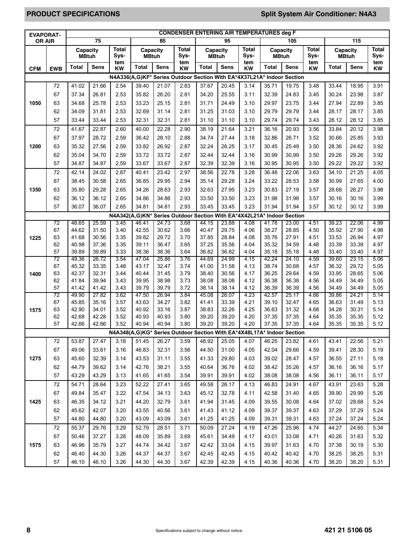# **PRODUCT SPECIFICATIONS Split System Air Conditioner: N4A3**

| <b>EVAPORAT-</b> |            | <b>CONDENSER ENTERING AIR TEMPERATURES deg F</b> |                |                      |                          |                                                                        |                      |                          |                |                  |                          |                |                      |                |                          |                      |
|------------------|------------|--------------------------------------------------|----------------|----------------------|--------------------------|------------------------------------------------------------------------|----------------------|--------------------------|----------------|------------------|--------------------------|----------------|----------------------|----------------|--------------------------|----------------------|
| <b>OR AIR</b>    |            | 75                                               |                |                      |                          | 85                                                                     |                      |                          | 95             |                  | 105                      |                |                      | 115            |                          |                      |
|                  |            | Capacity<br><b>MBtuh</b>                         |                | <b>Total</b><br>Sys- | Capacity<br><b>MBtuh</b> |                                                                        | <b>Total</b><br>Sys- | Capacity<br><b>MBtuh</b> |                | Total<br>Sys-    | Capacity<br><b>MBtuh</b> |                | <b>Total</b><br>Sys- |                | Capacity<br><b>MBtuh</b> | <b>Total</b><br>Sys- |
| <b>CFM</b>       | <b>EWB</b> | <b>Total</b>                                     | <b>Sens</b>    | tem<br><b>KW</b>     | <b>Total</b>             | <b>Sens</b>                                                            | tem<br><b>KW</b>     | <b>Total</b>             | <b>Sens</b>    | tem<br><b>KW</b> | <b>Total</b>             | <b>Sens</b>    | tem<br>KW            | <b>Total</b>   | <b>Sens</b>              | tem<br><b>KW</b>     |
|                  |            |                                                  |                |                      |                          | N4A336(A,G)KF* Series Outdoor Section With EA*4X37L21A* Indoor Section |                      |                          |                |                  |                          |                |                      |                |                          |                      |
|                  | 72         | 41.02                                            | 21.66          | 2.54                 | 39.40                    | 21.07                                                                  | 2.83                 | 37.67                    | 20.45          | 3.14             | 35.71                    | 19.75          | 3.48                 | 33.44          | 18.95                    | 3.91                 |
|                  | 67         | 37.34                                            | 26.81          | 2.53                 | 35.82                    | 26.20                                                                  | 2.81                 | 34.20                    | 25.55          | 3.11             | 32.39                    | 24.83          | 3.45                 | 30.24          | 23.98                    | 3.87                 |
| 1050             | 63         | 34.68                                            | 25.78          | 2.53                 | 33.23                    | 25.15                                                                  | 2.81                 | 31.71                    | 24.49          | 3.10             | 29.97                    | 23.75          | 3.44                 | 27.94          | 22.89                    | 3.85                 |
|                  | 62         | 34.09                                            | 31.81          | 2.53                 | 32.69                    | 31.14                                                                  | 2.81                 | 31.25                    | 31.03          | 3.10             | 29.79                    | 29.79          | 3.44                 | 28.17          | 28.17                    | 3.85                 |
|                  | 57         | 33.44                                            | 33.44          | 2.53                 | 32.31                    | 32.31                                                                  | 2.81                 | 31.10                    | 31.10          | 3.10             | 29.74                    | 29.74          | 3.43                 | 28.12          | 28.12                    | 3.85                 |
|                  | 72         | 41.67                                            | 22.87          | 2.60                 | 40.00                    | 22.28                                                                  | 2.90                 | 38.19                    | 21.64          | 3.21             | 36.16                    | 20.93          | 3.56                 | 33.84          | 20.12                    | 3.98                 |
|                  | 67         | 37.97                                            | 28.72          | 2.59                 | 36.42                    | 28.10                                                                  | 2.88                 | 34.74                    | 27.44          | 3.18             | 32.86                    | 26.71          | 3.52                 | 30.66          | 25.85                    | 3.93                 |
| 1200             | 63         | 35.32                                            | 27.56          | 2.59                 | 33.82                    | 26.92                                                                  | 2.87                 | 32.24                    | 26.25          | 3.17             | 30.45                    | 25.49          | 3.50                 | 28.36          | 24.62                    | 3.92                 |
|                  | 62         | 35.04                                            | 34.70          | 2.59                 | 33.72                    | 33.72                                                                  | 2.87                 | 32.44                    | 32.44          | 3.16             | 30.99                    | 30.99          | 3.50                 | 29.26          | 29.26                    | 3.92                 |
|                  | 57         | 34.87                                            | 34.87          | 2.59                 | 33.67                    | 33.67                                                                  | 2.87                 | 32.39                    | 32.39          | 3.16             | 30.95                    | 30.95          | 3.50                 | 29.22          | 29.22                    | 3.92                 |
|                  | 72         | 42.14                                            | 24.02          | 2.67                 | 40.41                    | 23.42                                                                  | 2.97                 | 38.56                    | 22.78          | 3.28             | 36.48                    | 22.06          | 3.63                 | 34.10          | 21.25                    | 4.05                 |
|                  | 67         | 38.45                                            | 30.58          | 2.65                 | 36.85                    | 29.95                                                                  | 2.94                 | 35.14                    | 29.28          | 3.24             | 33.22                    | 28.53          | 3.58                 | 30.99          | 27.65                    | 4.00                 |
| 1350             | 63         | 35.80                                            | 29.28          | 2.65                 | 34.26                    | 28.63                                                                  | 2.93                 | 32.63                    | 27.95          | 3.23             | 30.83                    | 27.19          | 3.57                 | 28.68          | 26.27                    | 3.98                 |
|                  | 62         | 36.12                                            | 36.12          | 2.65                 | 34.86                    | 34.86                                                                  | 2.93                 | 33.50                    | 33.50          | 3.23             | 31.98                    | 31.98          | 3.57                 | 30.16          | 30.16                    | 3.99                 |
|                  | 57         | 36.07                                            | 36.07          | 2.65                 | 34.81                    | 34.81                                                                  | 2.93                 | 33.45                    | 33.45          | 3.23             | 31.94                    | 31.94          | 3.57                 | 30.12          | 30.12                    | 3.99                 |
|                  |            |                                                  |                |                      |                          | N4A342(A,G)KN* Series Outdoor Section With EA*4X42L21A* Indoor Section |                      |                          |                |                  |                          |                |                      |                |                          |                      |
|                  | 72         | 48.65                                            | 25.59          | 3.45                 | 46.41                    | 24.73                                                                  | 3.68                 | 44.15                    | 23.88          | 4.08             | 41.78                    | 23.00          | 4.51                 | 39.23          | 22.06                    | 4.99                 |
|                  | 67         | 44.62                                            | 31.50          | 3.40                 | 42.55                    | 30.62                                                                  | 3.66                 | 40.47                    | 29.75          | 4.06             | 38.27                    | 28.85          | 4.50                 | 35.92          | 27.90                    | 4.98                 |
| 1225             | 63         | 41.68                                            | 30.56          | 3.35                 | 39.82                    | 29.72                                                                  | 3.70                 | 37.85                    | 28.84          | 4.08             | 35.76                    | 27.91          | 4.51                 | 33.53          | 26.94                    | 4.97                 |
|                  | 62<br>57   | 40.98<br>39.89                                   | 37.36<br>39.89 | 3.35<br>3.33         | 39.11<br>38.36           | 36.47<br>38.36                                                         | 3.65<br>3.64         | 37.25<br>36.82           | 35.56<br>36.82 | 4.04<br>4.04     | 35.32<br>35.18           | 34.59<br>35.18 | 4.48<br>4.48         | 33.39<br>33.40 | 33.39<br>33.40           | 4.97<br>4.97         |
|                  | 72         | 49.36                                            | 26.72          | 3.54                 | 47.04                    | 25.86                                                                  | 3.76                 | 44.69                    | 24.99          | 4.15             | 42.24                    | 24.10          | 4.59                 | 39.60          | 23.15                    | 5.06                 |
|                  | 67         | 45.32                                            | 33.35          | 3.48                 | 43.17                    | 32.47                                                                  | 3.74                 | 41.00                    | 31.58          | 4.13             | 38.74                    | 30.68          | 4.57                 | 36.32          | 29.72                    | 5.05                 |
| 1400             | 63         | 42.37                                            | 32.31          | 3.44                 | 40.44                    | 31.45                                                                  | 3.79                 | 38.40                    | 30.56          | 4.17             | 36.25                    | 29.64          | 4.59                 | 33.95          | 28.65                    | 5.06                 |
|                  | 62         | 41.84                                            | 39.94          | 3.43                 | 39.95                    | 38.98                                                                  | 3.73                 | 38.08                    | 38.08          | 4.12             | 36.38                    | 36.38          | 4.56                 | 34.49          | 34.49                    | 5.05                 |
|                  | 57<br>72   | 41.42<br>49.90                                   | 41.42          | 3.43<br>3.62         | 39.79<br>47.50           | 39.79                                                                  | 3.72                 | 38.14<br>45.08           | 38.14<br>26.07 | 4.12             | 36.39<br>42.57           | 36.39<br>25.17 | 4.56<br>4.66         | 34.49<br>39.86 | 34.49                    | 5.05                 |
|                  | 67         | 45.85                                            | 27.82<br>35.16 | 3.57                 | 43.63                    | 26.94<br>34.27                                                         | 3.84<br>3.82         | 41.41                    | 33.39          | 4.23<br>4.21     | 39.10                    | 32.47          | 4.65                 | 36.63          | 24.21<br>31.49           | 5.14<br>5.13         |
| 1575             | 63         | 42.90                                            | 34.01          | 3.52                 | 40.92                    | 33.16                                                                  | 3.87                 | 38.83                    | 32.26          | 4.25             | 36.63                    | 31.32          | 4.68                 | 34.28          | 30.31                    | 5.14                 |
|                  | 62         | 42.68                                            | 42.28          | 3.52                 | 40.93                    | 40.93                                                                  | 3.80                 | 39.20                    | 39.20          | 4.20             | 37.35                    | 37.35          | 4.64                 | 35.35          | 35.35                    | 5.12                 |
|                  | 57         | 42.66                                            | 42.66          | 3.52                 | 40.94                    | 40.94                                                                  | 3.80                 | 39.20                    | 39.20          | 4.20             | 37.35                    | 37.35          | 4.64                 | 35.35          | 35.35                    | 5.12                 |
|                  |            |                                                  |                |                      |                          | N4A348(A,G)KG* Series Outdoor Section With EA*4X48L17A* Indoor Section |                      |                          |                |                  |                          |                |                      |                |                          |                      |
|                  | 72         | 53.87                                            | 27.47          | 3.18                 | 51.45                    | 26.27                                                                  | 3.59                 | 48.92                    | 25.05          | 4.07             | 46.25                    | 23.82          | 4.61                 | 43.41          | 22.56                    | 5.21                 |
|                  | 67         | 49.06                                            | 33.61          | 3.16                 | 46.83                    | 32.31                                                                  | 3.56                 | 44.50                    | 31.00          | 4.05             | 42.04                    | 29.66          | 4.59                 | 39.41          | 28.30                    | 5.19                 |
| 1275             | 63         | 45.60                                            | 32.39          | 3.14                 | 43.53                    | 31.11                                                                  | 3.55                 | 41.33                    | 29.80          | 4.03             | 39.02                    | 28.47          | 4.57                 | 36.55          | 27.11                    | 5.18                 |
|                  | 62         | 44.79                                            | 39.62          | 3.14                 | 42.76                    | 38.21                                                                  | 3.55                 | 40.64                    | 36.76          | 4.02             | 38.42                    | 35.26          | 4.57                 | 36.16          | 36.16                    | 5.17                 |
|                  | 57         | 43.29                                            | 43.29          | 3.13                 | 41.65                    | 41.65                                                                  | 3.54                 | 39.91                    | 39.91          | 4.02             | 38.08                    | 38.08          | 4.56                 | 36.11          | 36.11                    | 5.17                 |
|                  | 72         | 54.71                                            | 28.64          | 3.23                 | 52.22                    | 27.41                                                                  | 3.65                 | 49.58                    | 26.17          | 4.13             | 46.83                    | 24.91          | 4.67                 | 43.91          | 23.63                    | 5.28                 |
|                  | 67         | 49.84                                            | 35.47          | 3.22                 | 47.54                    | 34.13                                                                  | 3.63                 | 45.12                    | 32.78          | 4.11             | 42.58                    | 31.40          | 4.65                 | 39.90          | 29.99                    | 5.26                 |
| 1425             | 63         | 46.35                                            | 34.12          | 3.21                 | 44.20                    | 32.79                                                                  | 3.61                 | 41.94                    | 31.45          | 4.09             | 39.55                    | 30.08          | 4.64                 | 37.02          | 28.68                    | 5.24                 |
|                  | 62         | 45.62                                            | 42.07          | 3.20                 | 43.55                    | 40.56                                                                  | 3.61                 | 41.43                    | 41.12          | 4.09             | 39.37                    | 39.37          | 4.63                 | 37.29          | 37.29                    | 5.24                 |
|                  | 57         | 44.80                                            | 44.80          | 3.20                 | 43.09                    | 43.09                                                                  | 3.61                 | 41.25                    | 41.25          | 4.09             | 39.31                    | 39.31          | 4.63                 | 37.24          | 37.24                    | 5.24                 |
|                  | 72         | 55.37                                            | 29.76          | 3.29                 | 52.79                    | 28.51                                                                  | 3.71                 | 50.09                    | 27.24          | 4.19             | 47.26                    | 25.96          | 4.74                 | 44.27          | 24.65                    | 5.34                 |
|                  | 67         | 50.46                                            | 37.27          | 3.28                 | 48.09                    | 35.89                                                                  | 3.69                 | 45.61                    | 34.49          | 4.17             | 43.01                    | 33.08          | 4.71                 | 40.26          | 31.63                    | 5.32                 |
| 1575             | 63         | 46.96                                            | 35.79          | 3.27                 | 44.74                    | 34.42                                                                  | 3.67                 | 42.42                    | 33.04          | 4.15             | 39.97                    | 31.63          | 4.70                 | 37.38          | 30.19                    | 5.30                 |
|                  | 62         | 46.40                                            | 44.30          | 3.26                 | 44.37                    | 44.37                                                                  | 3.67                 | 42.45                    | 42.45          | 4.15             | 40.42                    | 40.42          | 4.70                 | 38.25          | 38.25                    | 5.31                 |
|                  | 57         | 46.10                                            | 46.10          | 3.26                 | 44.30                    | 44.30                                                                  | 3.67                 | 42.39                    | 42.39          | 4.15             | 40.36                    | 40.36          | 4.70                 | 38.20          | 38.20                    | 5.31                 |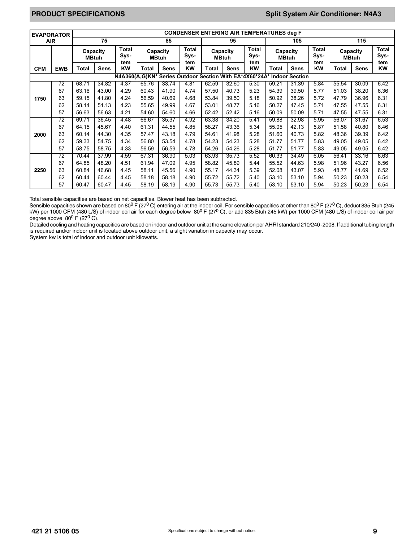# **PRODUCT SPECIFICATIONS Split System Air Conditioner: N4A3**

| <b>EVAPORATOR</b> |                                                                        | <b>CONDENSER ENTERING AIR TEMPERATURES deg F</b> |                          |                  |                          |             |                             |                          |             |                             |                          |             |                             |                          |             |                             |
|-------------------|------------------------------------------------------------------------|--------------------------------------------------|--------------------------|------------------|--------------------------|-------------|-----------------------------|--------------------------|-------------|-----------------------------|--------------------------|-------------|-----------------------------|--------------------------|-------------|-----------------------------|
| <b>AIR</b>        |                                                                        | 75                                               |                          |                  | 85                       |             |                             | 95                       |             | 105                         |                          |             | 115                         |                          |             |                             |
|                   |                                                                        |                                                  | Capacity<br><b>MBtuh</b> |                  | Capacity<br><b>MBtuh</b> |             | <b>Total</b><br>Sys-<br>tem | Capacity<br><b>MBtuh</b> |             | <b>Total</b><br>Sys-<br>tem | Capacity<br><b>MBtuh</b> |             | <b>Total</b><br>Sys-<br>tem | Capacity<br><b>MBtuh</b> |             | <b>Total</b><br>Sys-<br>tem |
| <b>CFM</b>        | <b>EWB</b>                                                             | Total                                            | <b>Sens</b>              | tem<br><b>KW</b> | Total                    | <b>Sens</b> | KW                          | Total                    | <b>Sens</b> | <b>KW</b>                   | Total                    | <b>Sens</b> | KW                          | Total                    | <b>Sens</b> | KW                          |
|                   | N4A360(A,G)KN* Series Outdoor Section With EA*4X60*24A* Indoor Section |                                                  |                          |                  |                          |             |                             |                          |             |                             |                          |             |                             |                          |             |                             |
|                   | 72                                                                     | 68.71                                            | 34.82                    | 4.37             | 65.76                    | 33.74       | 4.81                        | 62.59                    | 32.60       | 5.30                        | 59.21                    | 31.39       | 5.84                        | 55.54                    | 30.09       | 6.42                        |
|                   | 67                                                                     | 63.16                                            | 43.00                    | 4.29             | 60.43                    | 41.90       | 4.74                        | 57.50                    | 40.73       | 5.23                        | 54.39                    | 39.50       | 5.77                        | 51.03                    | 38.20       | 6.36                        |
| 1750              | 63                                                                     | 59.15                                            | 41.80                    | 4.24             | 56.59                    | 40.69       | 4.68                        | 53.84                    | 39.50       | 5.18                        | 50.92                    | 38.26       | 5.72                        | 47.79                    | 36.96       | 6.31                        |
|                   | 62                                                                     | 58.14                                            | 51.13                    | 4.23             | 55.65                    | 49.99       | 4.67                        | 53.01                    | 48.77       | 5.16                        | 50.27                    | 47.45       | 5.71                        | 47.55                    | 47.55       | 6.31                        |
|                   | 57                                                                     | 56.63                                            | 56.63                    | 4.21             | 54.60                    | 54.60       | 4.66                        | 52.42                    | 52.42       | 5.16                        | 50.09                    | 50.09       | 5.71                        | 47.55                    | 47.55       | 6.31                        |
|                   | 72                                                                     | 69.71                                            | 36.45                    | 4.48             | 66.67                    | 35.37       | 4.92                        | 63.38                    | 34.20       | 5.41                        | 59.88                    | 32.98       | 5.95                        | 56.07                    | 31.67       | 6.53                        |
|                   | 67                                                                     | 64.15                                            | 45.67                    | 4.40             | 61.31                    | 44.55       | 4.85                        | 58.27                    | 43.36       | 5.34                        | 55.05                    | 42.13       | 5.87                        | 51.58                    | 40.80       | 6.46                        |
| 2000              | 63                                                                     | 60.14                                            | 44.30                    | 4.35             | 57.47                    | 43.18       | 4.79                        | 54.61                    | 41.98       | 5.28                        | 51.60                    | 40.73       | 5.82                        | 48.36                    | 39.39       | 6.42                        |
|                   | 62                                                                     | 59.33                                            | 54.75                    | 4.34             | 56.80                    | 53.54       | 4.78                        | 54.23                    | 54.23       | 5.28                        | 51.77                    | 51.77       | 5.83                        | 49.05                    | 49.05       | 6.42                        |
|                   | 57                                                                     | 58.75                                            | 58.75                    | 4.33             | 56.59                    | 56.59       | 4.78                        | 54.26                    | 54.26       | 5.28                        | 51.77                    | 51.77       | 5.83                        | 49.05                    | 49.05       | 6.42                        |
|                   | 72                                                                     | 70.44                                            | 37.99                    | 4.59             | 67.31                    | 36.90       | 5.03                        | 63.93                    | 35.73       | 5.52                        | 60.33                    | 34.49       | 6.05                        | 56.41                    | 33.16       | 6.63                        |
|                   | 67                                                                     | 64.85                                            | 48.20                    | 4.51             | 61.94                    | 47.09       | 4.95                        | 58.82                    | 45.89       | 5.44                        | 55.52                    | 44.63       | 5.98                        | 51.96                    | 43.27       | 6.56                        |
| 2250              | 63                                                                     | 60.84                                            | 46.68                    | 4.45             | 58.11                    | 45.56       | 4.90                        | 55.17                    | 44.34       | 5.39                        | 52.08                    | 43.07       | 5.93                        | 48.77                    | 41.69       | 6.52                        |
|                   | 62                                                                     | 60.44                                            | 60.44                    | 4.45             | 58.18                    | 58.18       | 4.90                        | 55.72                    | 55.72       | 5.40                        | 53.10                    | 53.10       | 5.94                        | 50.23                    | 50.23       | 6.54                        |
|                   | 57                                                                     | 60.47                                            | 60.47                    | 4.45             | 58.19                    | 58.19       | 4.90                        | 55.73                    | 55.73       | 5.40                        | 53.10                    | 53.10       | 5.94                        | 50.23                    | 50.23       | 6.54                        |

Total sensible capacities are based on net capacities. Blower heat has been subtracted.

Sensible capacities shown are based on 80<sup>0</sup> F (27<sup>0</sup> C) entering air at the indoor coil. For sensible capacities at other than 80<sup>0</sup> F (27<sup>0</sup> C), deduct 835 Btuh (245 kW) per 1000 CFM (480 L/S) of indoor coil air for each degree below 80<sup>0</sup> F (27<sup>0</sup> C), or add 835 Btuh 245 kW) per 1000 CFM (480 L/S) of indoor coil air per degree above  $80^0$  F (27<sup>0</sup> C).

Detailed cooling and heating capacities are based on indoor and outdoor unit at the same elevation per AHRI standard 210/240 -2008. If additional tubing length is required and/or indoor unit is located above outdoor unit, a slight variation in capacity may occur.

System kw is total of indoor and outdoor unit kilowatts.